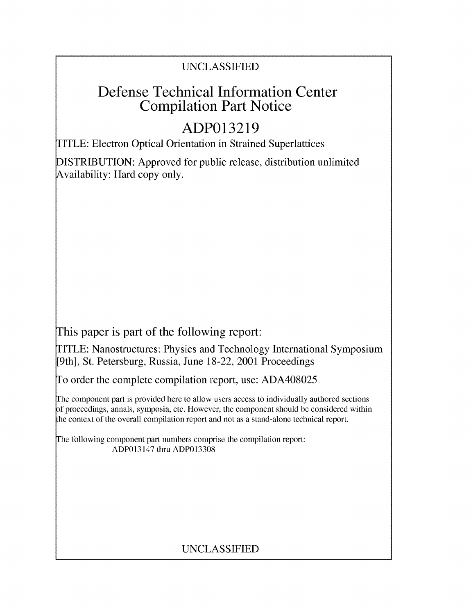### UNCLASSIFIED

## Defense Technical Information Center Compilation Part Notice

# **ADP013219**

TITLE: Electron Optical Orientation in Strained Superlattices

DISTRIBUTION: Approved for public release, distribution unlimited Availability: Hard copy only.

This paper is part of the following report:

TITLE: Nanostructures: Physics and Technology International Symposium [9th], St. Petersburg, Russia, June 18-22, 2001 Proceedings

To order the complete compilation report, use: ADA408025

The component part is provided here to allow users access to individually authored sections f proceedings, annals, symposia, etc. However, the component should be considered within the context of the overall compilation report and not as a stand-alone technical report.

The following component part numbers comprise the compilation report: ADP013147 thru ADP013308

## UNCLASSIFIED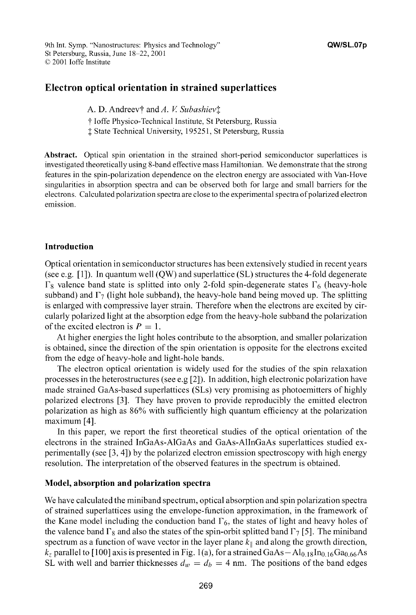9th Int. Symp. "Nanostructures: Physics and Technology" **QW/SL.07p** St Petersburg, Russia, June 18-22, 2001 **©0** 2001 loffe Institute

#### Electron optical orientation in strained superlattices

A. D. Andreev† and A. *V. Subashiev*‡

t loffe Physico-Technical Institute, St Petersburg, Russia

**I** State Technical University, 195251, St Petersburg, Russia

Abstract. Optical spin orientation in the strained short-period semiconductor superlattices is investigated theoretically using 8-band effective mass Hamiltonian. We demonstrate that the strong features in the spin-polarization dependence on the electron energy are associated with Van-Hove singularities in absorption spectra and can be observed both for large and small barriers for the electrons. Calculated polarization spectra are close to the experimental spectra of polarized electron emission.

#### Introduction

Optical orientation in semiconductor structures has been extensively studied in recent years (see e.g. [1]). In quantum well (QW) and superlattice (SL) structures the 4-fold degenerate  $\Gamma_8$  valence band state is splitted into only 2-fold spin-degenerate states  $\Gamma_6$  (heavy-hole subband) and  $\Gamma_7$  (light hole subband), the heavy-hole band being moved up. The splitting is enlarged with compressive layer strain. Therefore when the electrons are excited by circularly polarized light at the absorption edge from the heavy-hole subband the polarization of the excited electron is  $P = 1$ .

At higher energies the light holes contribute to the absorption, and smaller polarization is obtained, since the direction of the spin orientation is opposite for the electrons excited from the edge of heavy-hole and light-hole bands.

The electron optical orientation is widely used for the studies of the spin relaxation processes in the heterostructures (see e.g [2]). In addition, high electronic polarization have made strained GaAs-based superlattices (SLs) very promising as photoemitters of highly polarized electrons [3]. They have proven to provide reproducibly the emitted electron polarization as high as **86%** with sufficiently high quantum efficiency at the polarization maximum [4].

In this paper, we report the first theoretical studies of the optical orientation of the electrons in the strained InGaAs-AlGaAs and GaAs-AlInGaAs superlattices studied experimentally (see [3, 4]) by the polarized electron emission spectroscopy with high energy resolution. The interpretation of the observed features in the spectrum is obtained.

#### Model, absorption and polarization spectra

We have calculated the miniband spectrum, optical absorption and spin polarization spectra of strained superlattices using the envelope-function approximation, in the framework of the Kane model including the conduction band  $\Gamma_6$ , the states of light and heavy holes of the valence band  $\Gamma_8$  and also the states of the spin-orbit splitted band  $\Gamma_7$  [5]. The miniband spectrum as a function of wave vector in the layer plane  $k_{\parallel}$  and along the growth direction,  $k_z$  parallel to [100] axis is presented in Fig. 1(a), for a strained GaAs  $-$  Al<sub>0.18</sub>In<sub>0.16</sub>Ga<sub>0.66</sub>As SL with well and barrier thicknesses  $d_w = d_b = 4$  nm. The positions of the band edges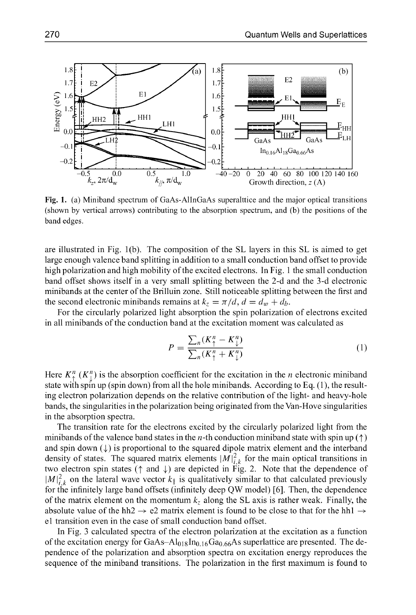

Fig. **1.** (a) Miniband spectrum of GaAs-AllnGaAs superalttice and the major optical transitions (shown **by** vertical arrows) contributing to the absorption spectrum, and (b) the positions of the band edges.

are illustrated in Fig. 1(b). The composition of the SL layers in this SL is aimed to get large enough valence band splitting in addition to a small conduction band offset to provide high polarization and high mobility of the excited electrons. In Fig. 1 the small conduction band offset shows itself in a very small splitting between the 2-d and the 3-d electronic minibands at the center of the Brilluin zone. Still noticeable splitting between the first and the second electronic minibands remains at  $k_z = \pi/d$ ,  $d = d_w + d_b$ .

For the circularly polarized light absorption the spin polarization of electrons excited in all minibands of the conduction band at the excitation moment was calculated as

$$
P = \frac{\sum_{n}(K_{\uparrow}^{n} - K_{\downarrow}^{n})}{\sum_{n}(K_{\uparrow}^{n} + K_{\downarrow}^{n})}
$$
(1)

Here  $K_{\uparrow}^{n}(K_{\uparrow}^{n})$  is the absorption coefficient for the excitation in the *n* electronic miniband state with spin up (spin down) from all the hole minibands. According to Eq. (1), the resulting electron polarization depends on the relative contribution of the light- and heavy-hole bands, the singularities in the polarization being originated from the Van-Hove singularities in the absorption spectra.

The transition rate for the electrons excited by the circularly polarized light from the minibands of the valence band states in the *n*-th conduction miniband state with spin up  $(\uparrow)$ and spin down  $(\downarrow)$  is proportional to the squared dipole matrix element and the interband density of states. The squared matrix elements  $|M|_{i,k}^2$  for the main optical transitions in two electron spin states ( $\uparrow$  and  $\downarrow$ ) are depicted in Fig. 2. Note that the dependence of  $|M|_{i,k}^2$  on the lateral wave vector  $k_{\parallel}$  is qualitatively similar to that calculated previously for the infinitely large band offsets (infinitely deep QW model) [6]. Then, the dependence of the matrix element on the momentum  $k_z$  along the SL axis is rather weak. Finally, the absolute value of the hh2  $\rightarrow$  e2 matrix element is found to be close to that for the hh1  $\rightarrow$ el transition even in the case of small conduction band offset.

In Fig. 3 calculated spectra of the electron polarization at the excitation as a function of the excitation energy for  $GaAs-Al_{018}In_{0.16}Ga_{0.66}As$  superlattice are presented. The dependence of the polarization and absorption spectra on excitation energy reproduces the sequence of the miniband transitions. The polarization in the first maximum is found to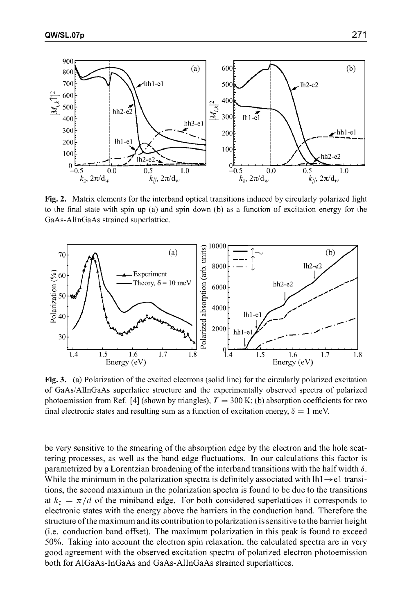

Fig. 2. Matrix elements for the interband optical transitions induced by circularly polarized light to the final state with spin up (a) and spin down (b) as a function of excitation energy for the GaAs-AllnGaAs strained superlattice.



Fig. **3.** (a) Polarization of the excited electrons (solid line) for the circularly polarized excitation of GaAs/AllnGaAs superlatice structure and the experimentally observed spectra of polarized photoemission from Ref. [4] (shown by triangles),  $T = 300$  K; (b) absorption coefficients for two final electronic states and resulting sum as a function of excitation energy,  $\delta = 1$  meV.

be very sensitive to the smearing of the absorption edge by the electron and the hole scattering processes, as well as the band edge fluctuations. In our calculations this factor is parametrized by a Lorentzian broadening of the interband transitions with the half width **6.** While the minimum in the polarization spectra is definitely associated with  $\text{lh1} \rightarrow \text{el}$  transitions, the second maximum in the polarization spectra is found to be due to the transitions at  $k_z = \pi/d$  of the miniband edge. For both considered superlattices it corresponds to electronic states with the energy above the barriers in the conduction band. Therefore the structure of the maximum and its contribution to polarization is sensitive to the barrier height (i.e. conduction band offset). The maximum polarization in this peak is found to exceed **50%.** Taking into account the electron spin relaxation, the calculated spectra are in very good agreement with the observed excitation spectra of polarized electron photoemission both for AlGaAs-InGaAs and GaAs-AlInGaAs strained superlattices.